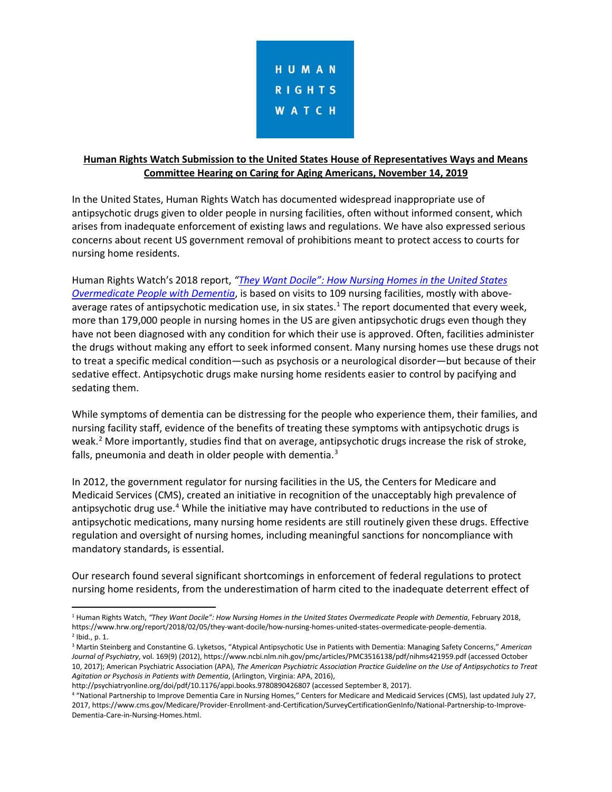

## **Human Rights Watch Submission to the United States House of Representatives Ways and Means Committee Hearing on Caring for Aging Americans, November 14, 2019**

In the United States, Human Rights Watch has documented widespread inappropriate use of antipsychotic drugs given to older people in nursing facilities, often without informed consent, which arises from inadequate enforcement of existing laws and regulations. We have also expressed serious concerns about recent US government removal of prohibitions meant to protect access to courts for nursing home residents.

Human Rights Watch's 2018 report, *["They Want Docile"](https://www.hrw.org/report/2018/02/05/they-want-docile/how-nursing-homes-united-states-overmedicate-people-dementia): How Nursing Homes in the United States Overmedicate People with Dementia*, is based on visits to 109 nursing facilities, mostly with above-average rates of antipsychotic medication use, in six states.<sup>[1](#page-0-0)</sup> The report documented that every week, more than 179,000 people in nursing homes in the US are given antipsychotic drugs even though they have not been diagnosed with any condition for which their use is approved. Often, facilities administer the drugs without making any effort to seek informed consent. Many nursing homes use these drugs not to treat a specific medical condition—such as psychosis or a neurological disorder—but because of their sedative effect. Antipsychotic drugs make nursing home residents easier to control by pacifying and sedating them.

While symptoms of dementia can be distressing for the people who experience them, their families, and nursing facility staff, evidence of the benefits of treating these symptoms with antipsychotic drugs is weak.<sup>[2](#page-0-1)</sup> More importantly, studies find that on average, antipsychotic drugs increase the risk of stroke, falls, pneumonia and death in older people with dementia. $3$ 

In 2012, the government regulator for nursing facilities in the US, the Centers for Medicare and Medicaid Services (CMS), created an initiative in recognition of the unacceptably high prevalence of antipsychotic drug use.<sup>[4](#page-0-3)</sup> While the initiative may have contributed to reductions in the use of antipsychotic medications, many nursing home residents are still routinely given these drugs. Effective regulation and oversight of nursing homes, including meaningful sanctions for noncompliance with mandatory standards, is essential.

Our research found several significant shortcomings in enforcement of federal regulations to protect nursing home residents, from the underestimation of harm cited to the inadequate deterrent effect of

http://psychiatryonline.org/doi/pdf/10.1176/appi.books.9780890426807 (accessed September 8, 2017).

<span id="page-0-0"></span> <sup>1</sup> Human Rights Watch, *"They Want Docile": How Nursing Homes in the United States Overmedicate People with Dementia*, February 2018, https://www.hrw.org/report/2018/02/05/they-want-docile/how-nursing-homes-united-states-overmedicate-people-dementia.  $2$  Ibid., p. 1.

<span id="page-0-2"></span><span id="page-0-1"></span><sup>3</sup> Martin Steinberg and Constantine G. Lyketsos, "Atypical Antipsychotic Use in Patients with Dementia: Managing Safety Concerns," *American Journal of Psychiatry*, vol. 169(9) (2012), https://www.ncbi.nlm.nih.gov/pmc/articles/PMC3516138/pdf/nihms421959.pdf (accessed October 10, 2017); American Psychiatric Association (APA), *The American Psychiatric Association Practice Guideline on the Use of Antipsychotics to Treat Agitation or Psychosis in Patients with Dementia*, (Arlington, Virginia: APA, 2016),

<span id="page-0-3"></span><sup>4</sup> "National Partnership to Improve Dementia Care in Nursing Homes," Centers for Medicare and Medicaid Services (CMS), last updated July 27, 2017, https://www.cms.gov/Medicare/Provider-Enrollment-and-Certification/SurveyCertificationGenInfo/National-Partnership-to-Improve-Dementia-Care-in-Nursing-Homes.html.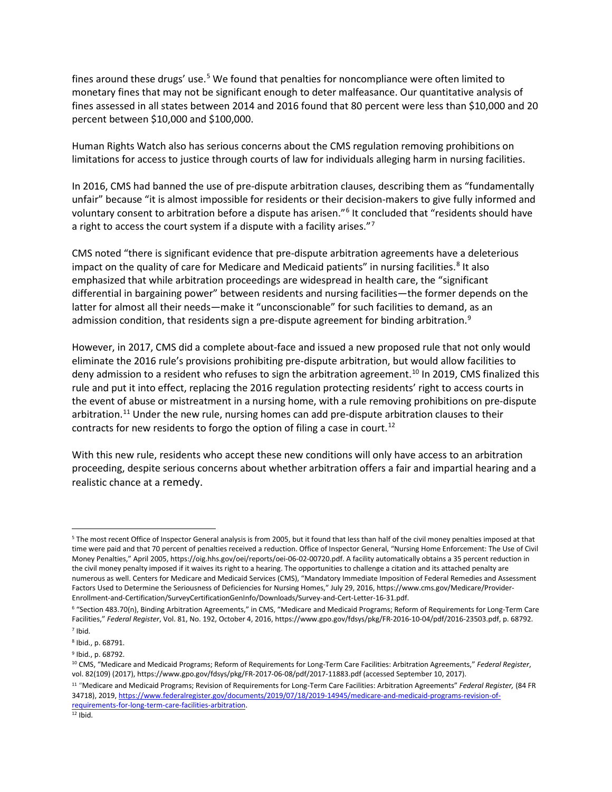fines around these drugs' use.<sup>[5](#page-1-0)</sup> We found that penalties for noncompliance were often limited to monetary fines that may not be significant enough to deter malfeasance. Our quantitative analysis of fines assessed in all states between 2014 and 2016 found that 80 percent were less than \$10,000 and 20 percent between \$10,000 and \$100,000.

Human Rights Watch also has serious concerns about the CMS regulation removing prohibitions on limitations for access to justice through courts of law for individuals alleging harm in nursing facilities.

In 2016, CMS had banned the use of pre-dispute arbitration clauses, describing them as "fundamentally unfair" because "it is almost impossible for residents or their decision-makers to give fully informed and voluntary consent to arbitration before a dispute has arisen."[6](#page-1-1) It concluded that "residents should have a right to access the court system if a dispute with a facility arises."<sup>[7](#page-1-2)</sup>

CMS noted "there is significant evidence that pre-dispute arbitration agreements have a deleterious impact on the quality of care for Medicare and Medicaid patients" in nursing facilities.<sup>[8](#page-1-3)</sup> It also emphasized that while arbitration proceedings are widespread in health care, the "significant differential in bargaining power" between residents and nursing facilities—the former depends on the latter for almost all their needs—make it "unconscionable" for such facilities to demand, as an admission condition, that residents sign a pre-dispute agreement for binding arbitration.<sup>[9](#page-1-4)</sup>

However, in 2017, CMS did a complete about-face and issued a new proposed rule that not only would eliminate the 2016 rule's provisions prohibiting pre-dispute arbitration, but would allow facilities to deny admission to a resident who refuses to sign the arbitration agreement.<sup>10</sup> In 2019, CMS finalized this rule and put it into effect, replacing the 2016 regulation protecting residents' right to access courts in the event of abuse or mistreatment in a nursing home, with a rule removing prohibitions on pre-dispute arbitration.<sup>[11](#page-1-6)</sup> Under the new rule, nursing homes can add pre-dispute arbitration clauses to their contracts for new residents to forgo the option of filing a case in court.<sup>[12](#page-1-7)</sup>

With this new rule, residents who accept these new conditions will only have access to an arbitration proceeding, despite serious concerns about whether arbitration offers a fair and impartial hearing and a realistic chance at a remedy.

<span id="page-1-0"></span> <sup>5</sup> The most recent Office of Inspector General analysis is from 2005, but it found that less than half of the civil money penalties imposed at that time were paid and that 70 percent of penalties received a reduction. Office of Inspector General, "Nursing Home Enforcement: The Use of Civil Money Penalties," April 2005, https://oig.hhs.gov/oei/reports/oei-06-02-00720.pdf. A facility automatically obtains a 35 percent reduction in the civil money penalty imposed if it waives its right to a hearing. The opportunities to challenge a citation and its attached penalty are numerous as well. Centers for Medicare and Medicaid Services (CMS), "Mandatory Immediate Imposition of Federal Remedies and Assessment Factors Used to Determine the Seriousness of Deficiencies for Nursing Homes," July 29, 2016, https://www.cms.gov/Medicare/Provider-Enrollment-and-Certification/SurveyCertificationGenInfo/Downloads/Survey-and-Cert-Letter-16-31.pdf.

<span id="page-1-1"></span><sup>6</sup> "Section 483.70(n), Binding Arbitration Agreements," in CMS, "Medicare and Medicaid Programs; Reform of Requirements for Long-Term Care Facilities," *Federal Register*, Vol. 81, No. 192, October 4, 2016, https://www.gpo.gov/fdsys/pkg/FR-2016-10-04/pdf/2016-23503.pdf, p. 68792.

<span id="page-1-2"></span><sup>7</sup> Ibid.

<span id="page-1-3"></span><sup>8</sup> Ibid., p. 68791.

<span id="page-1-4"></span><sup>9</sup> Ibid., p. 68792.

<span id="page-1-5"></span><sup>10</sup> CMS, "Medicare and Medicaid Programs; Reform of Requirements for Long-Term Care Facilities: Arbitration Agreements," *Federal Register*, vol. 82(109) (2017), https://www.gpo.gov/fdsys/pkg/FR-2017-06-08/pdf/2017-11883.pdf (accessed September 10, 2017).

<span id="page-1-7"></span><span id="page-1-6"></span><sup>11</sup> "Medicare and Medicaid Programs; Revision of Requirements for Long-Term Care Facilities: Arbitration Agreements" *Federal Register,* (84 FR 34718), 2019[, https://www.federalregister.gov/documents/2019/07/18/2019-14945/medicare-and-medicaid-programs-revision-of](https://www.federalregister.gov/documents/2019/07/18/2019-14945/medicare-and-medicaid-programs-revision-of-requirements-for-long-term-care-facilities-arbitration)[requirements-for-long-term-care-facilities-arbitration.](https://www.federalregister.gov/documents/2019/07/18/2019-14945/medicare-and-medicaid-programs-revision-of-requirements-for-long-term-care-facilities-arbitration)